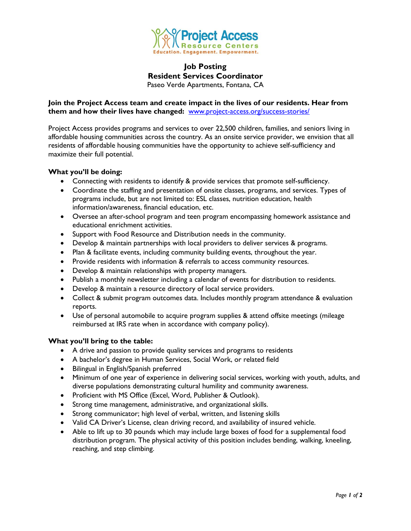

# **Job Posting Resident Services Coordinator** Paseo Verde Apartments, Fontana, CA

### **Join the Project Access team and create impact in the lives of our residents. Hear from them and how their lives have changed:** [www.project-access.org/success-stories/](http://www.project-access.org/success-stories/)

Project Access provides programs and services to over 22,500 children, families, and seniors living in affordable housing communities across the country. As an onsite service provider, we envision that all residents of affordable housing communities have the opportunity to achieve self-sufficiency and maximize their full potential.

#### **What you'll be doing:**

- Connecting with residents to identify & provide services that promote self-sufficiency.
- Coordinate the staffing and presentation of onsite classes, programs, and services. Types of programs include, but are not limited to: ESL classes, nutrition education, health information/awareness, financial education, etc.
- Oversee an after-school program and teen program encompassing homework assistance and educational enrichment activities.
- Support with Food Resource and Distribution needs in the community.
- Develop & maintain partnerships with local providers to deliver services & programs.
- Plan & facilitate events, including community building events, throughout the year.
- Provide residents with information & referrals to access community resources.
- Develop & maintain relationships with property managers.
- Publish a monthly newsletter including a calendar of events for distribution to residents.
- Develop & maintain a resource directory of local service providers.
- Collect & submit program outcomes data. Includes monthly program attendance & evaluation reports.
- Use of personal automobile to acquire program supplies & attend offsite meetings (mileage reimbursed at IRS rate when in accordance with company policy).

#### **What you'll bring to the table:**

- A drive and passion to provide quality services and programs to residents
- A bachelor's degree in Human Services, Social Work, or related field
- Bilingual in English/Spanish preferred
- Minimum of one year of experience in delivering social services, working with youth, adults, and diverse populations demonstrating cultural humility and community awareness.
- Proficient with MS Office (Excel, Word, Publisher & Outlook).
- Strong time management, administrative, and organizational skills.
- Strong communicator; high level of verbal, written, and listening skills
- Valid CA Driver's License, clean driving record, and availability of insured vehicle.
- Able to lift up to 30 pounds which may include large boxes of food for a supplemental food distribution program. The physical activity of this position includes bending, walking, kneeling, reaching, and step climbing.